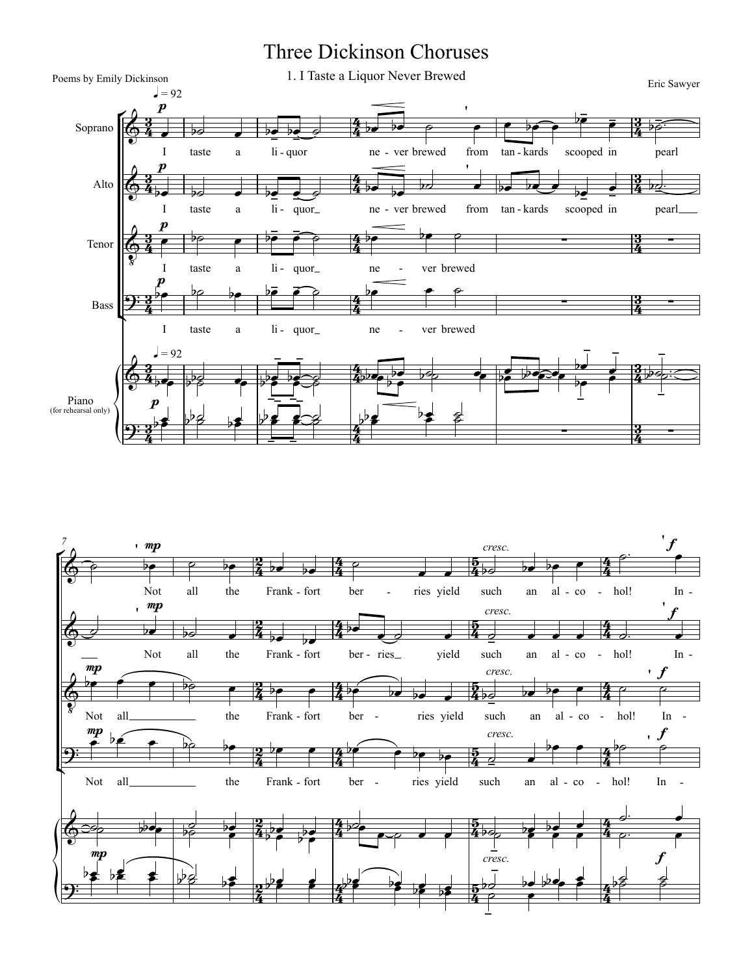## Three Dickinson Choruses



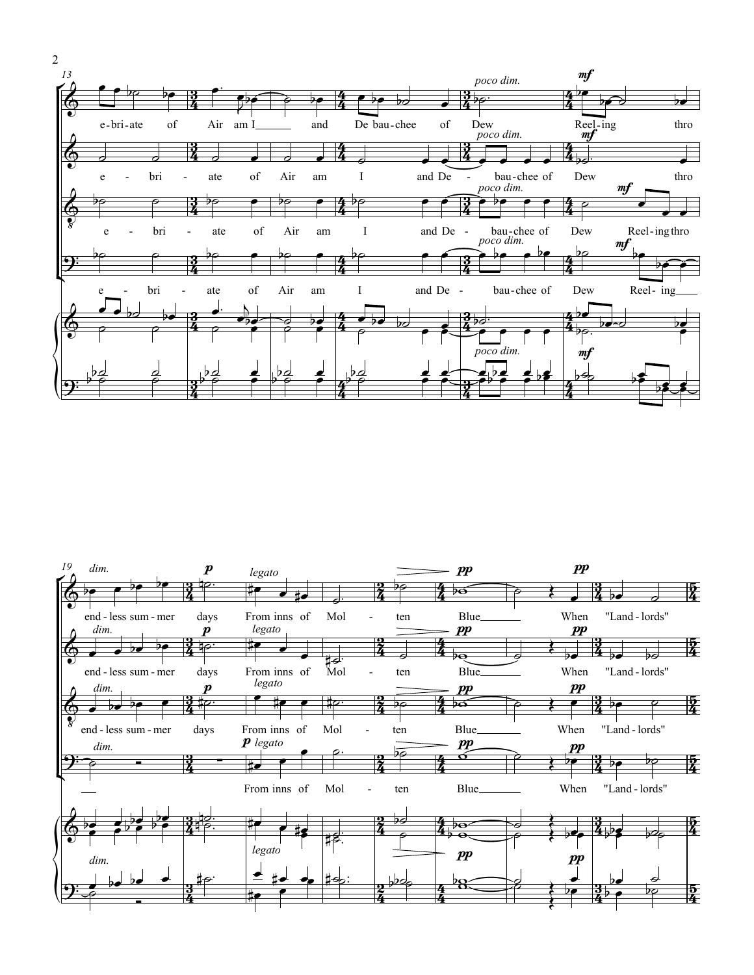

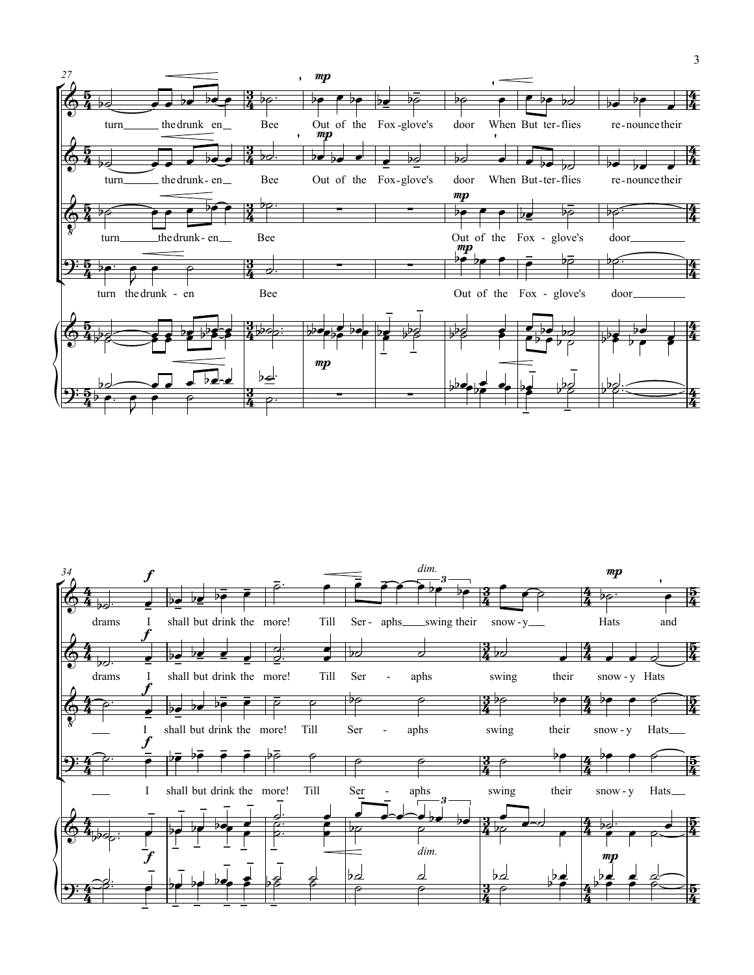

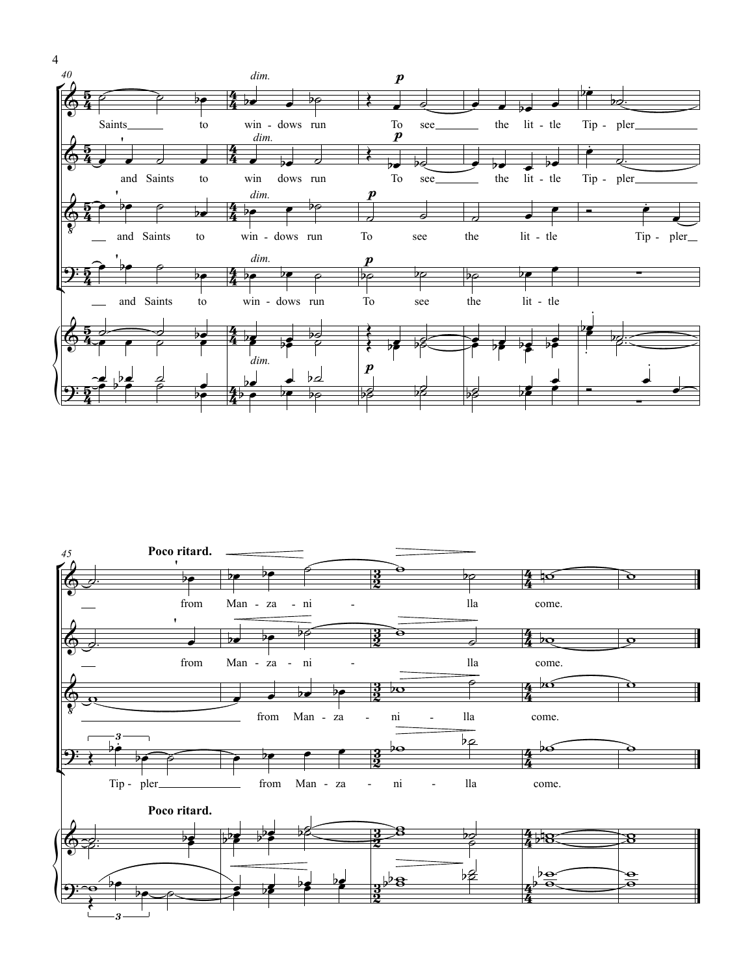

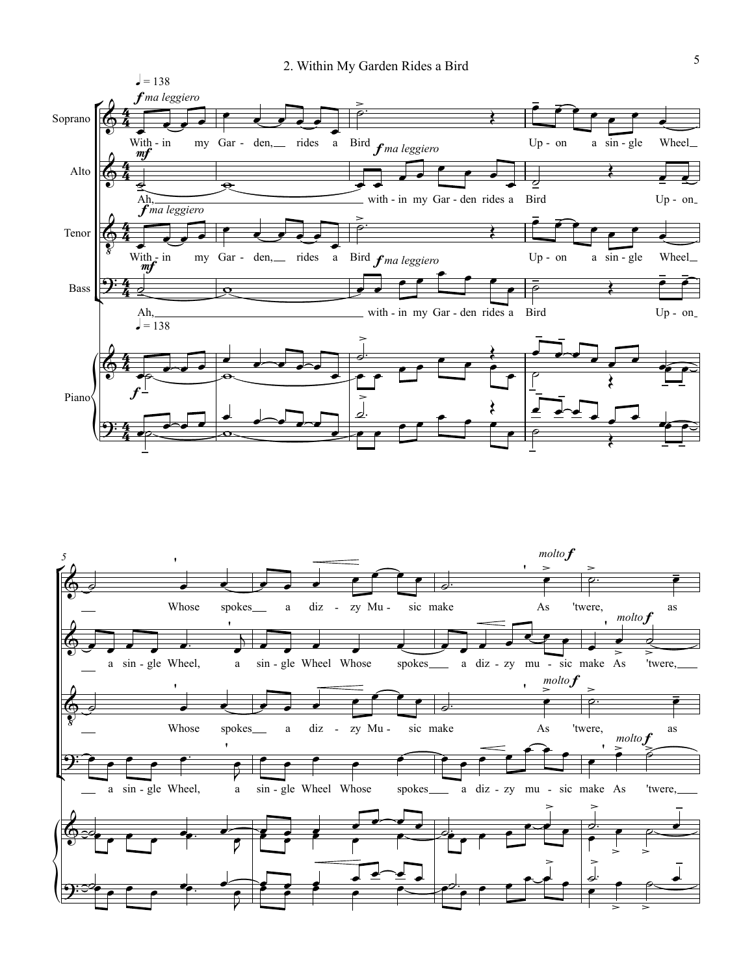

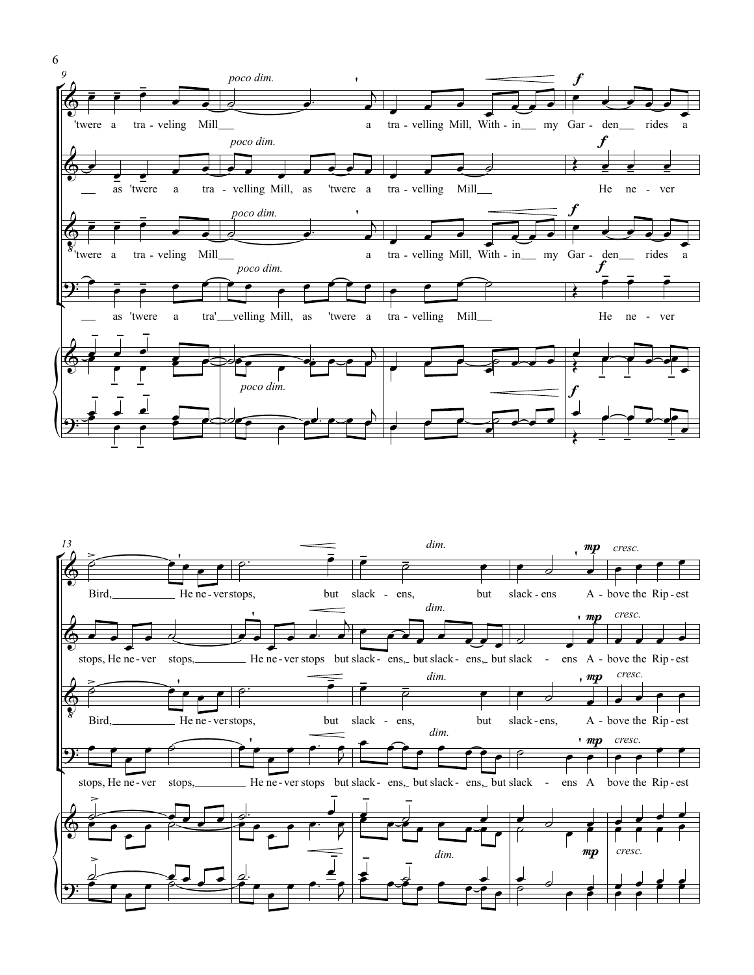

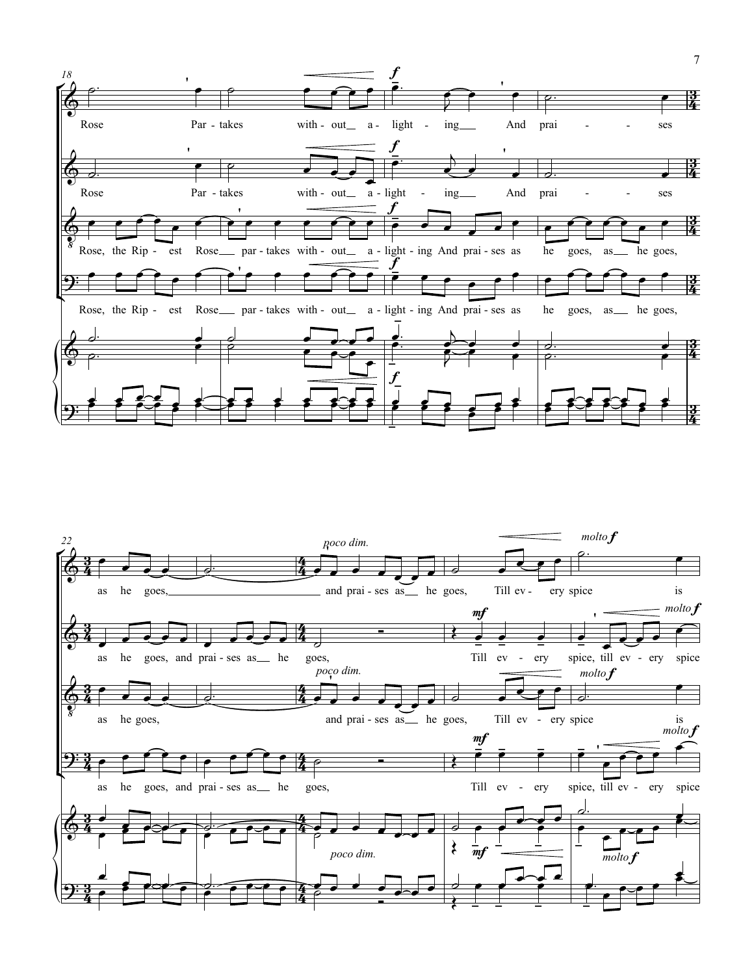

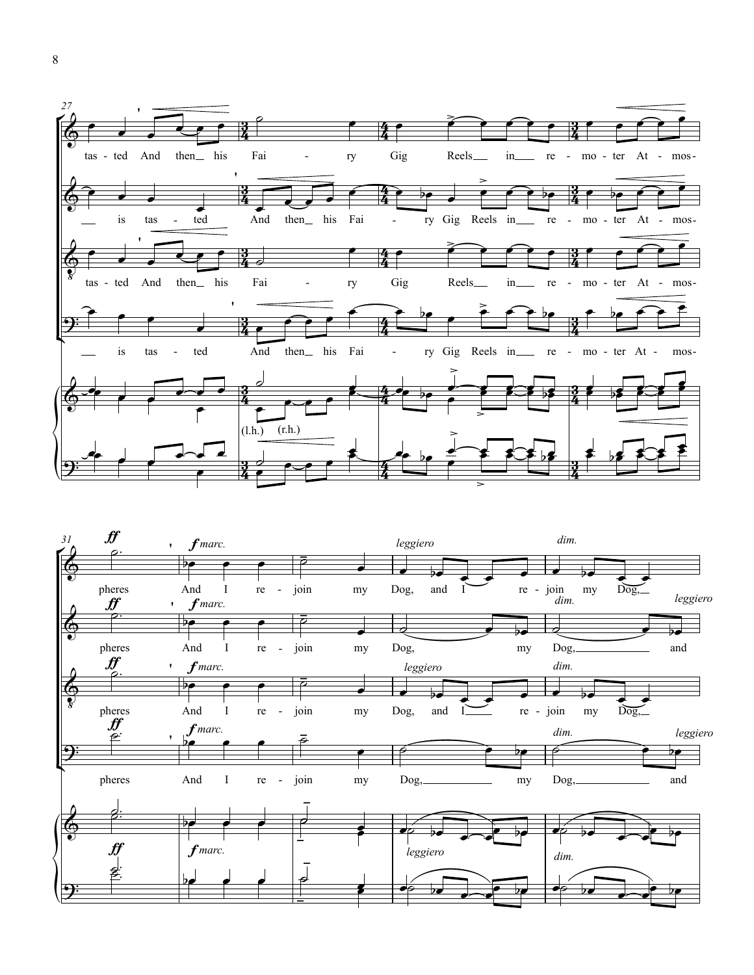

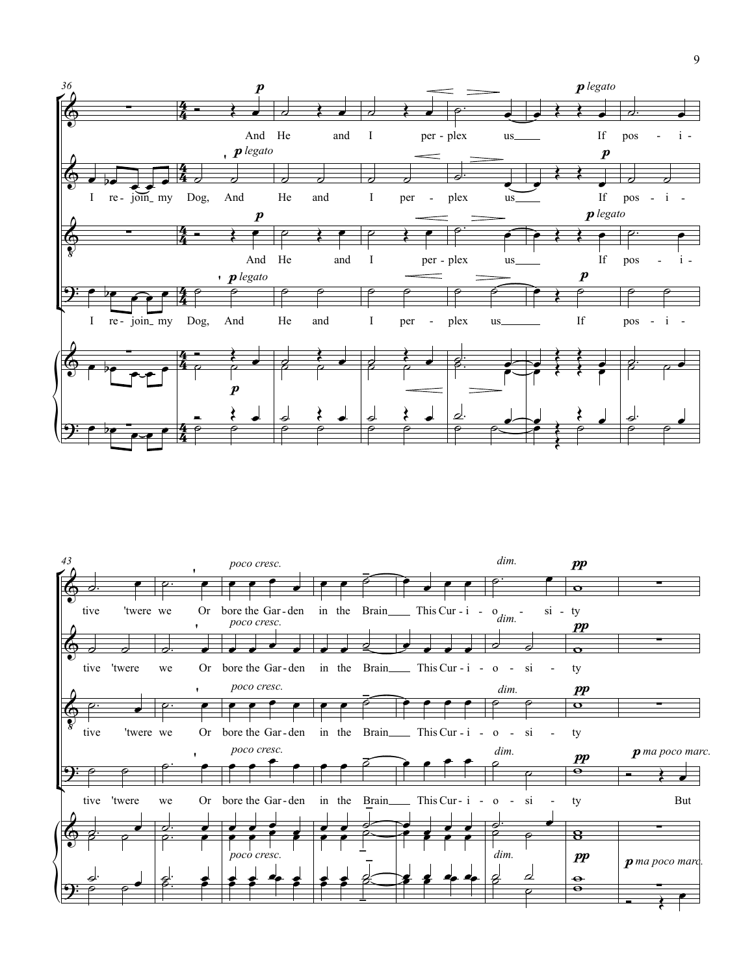

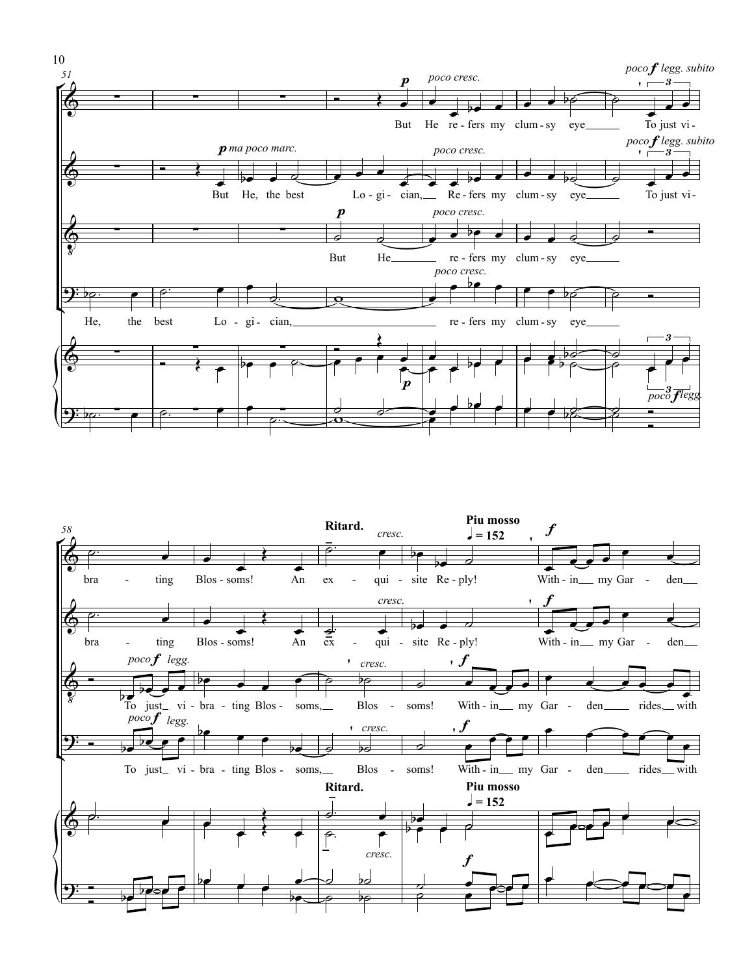

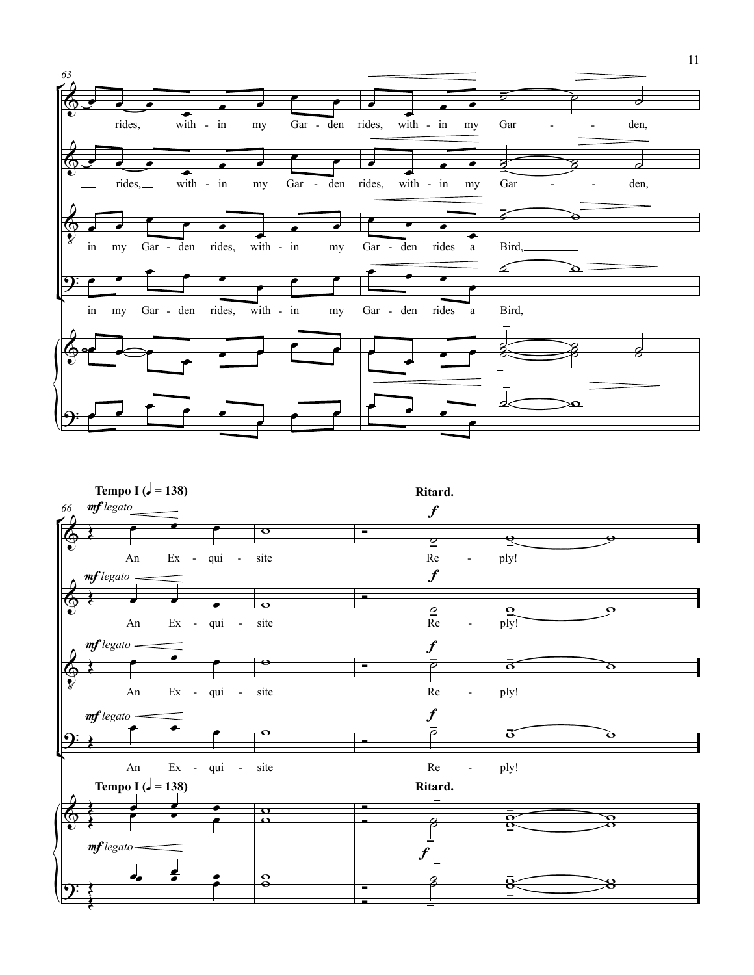

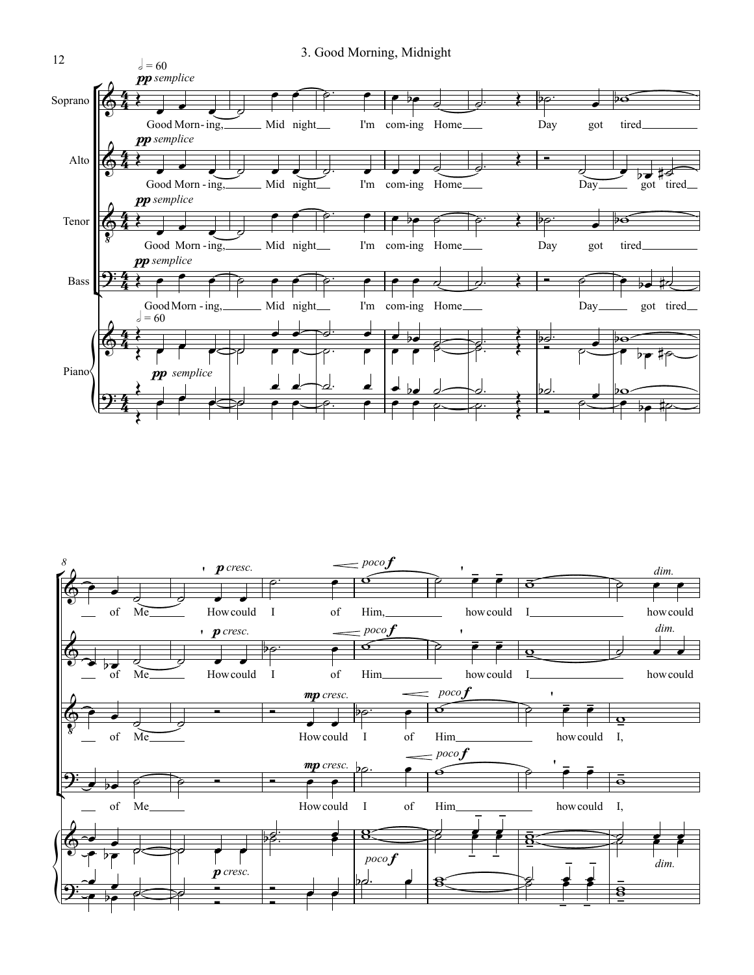

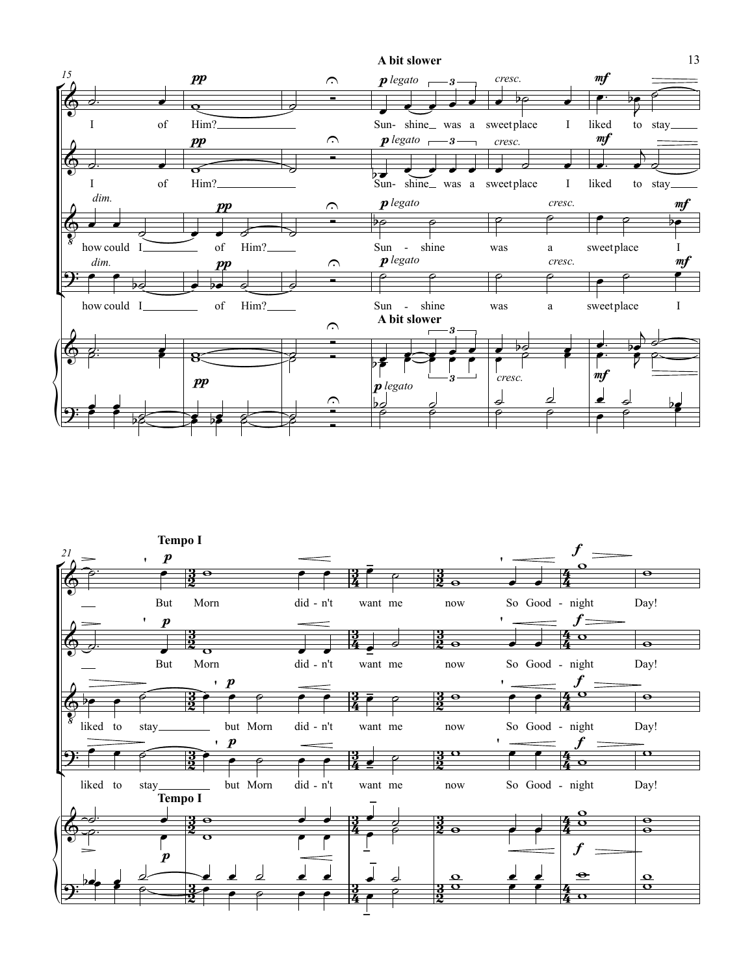

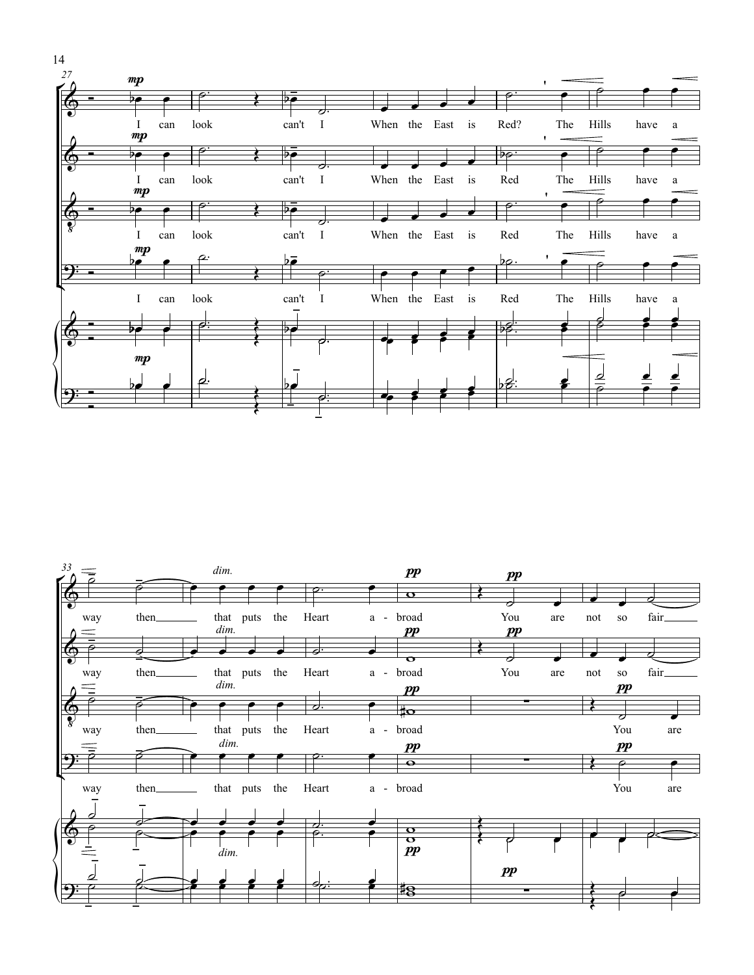